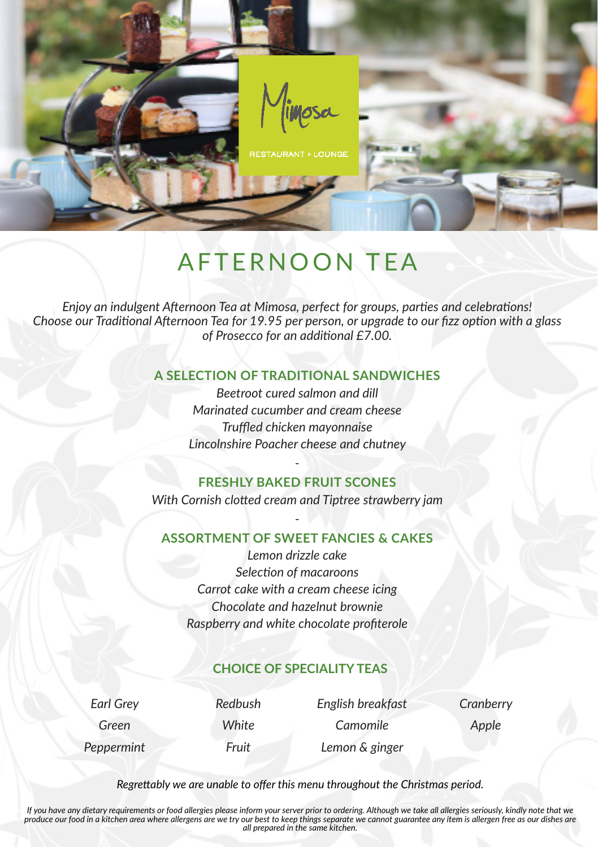

# AFTERNOON TEA

*Enjoy an indulgent Afternoon Tea at Mimosa, perfect for groups, parties and celebrations! Choose our Traditional Afternoon Tea for 19.95 per person, or upgrade to our fizz option with a glass of Prosecco for an additional £7.00.*

#### **A SELECTION OF TRADITIONAL SANDWICHES**

*Beetroot cured salmon and dill Marinated cucumber and cream cheese Truffled chicken mayonnaise Lincolnshire Poacher cheese and chutney*

#### *-* **FRESHLY BAKED FRUIT SCONES**

*With Cornish clotted cream and Tiptree strawberry jam*

#### *-* **ASSORTMENT OF SWEET FANCIES & CAKES**

*Lemon drizzle cake Selection of macaroons Carrot cake with a cream cheese icing Chocolate and hazelnut brownie Raspberry and white chocolate profiterole*

### **CHOICE OF SPECIALITY TEAS**

*Earl Grey Redbush English breakfast Cranberry Green White Camomile Apple Peppermint Fruit Lemon & ginger*

*Regrettably we are unable to offer this menu throughout the Christmas period.*

*If you have any dietary requirements or food allergies please inform your server prior to ordering. Although we take all allergies seriously, kindly note that we produce our food in a kitchen area where allergens are we try our best to keep things separate we cannot guarantee any item is allergen free as our dishes are all prepared in the same kitchen.*